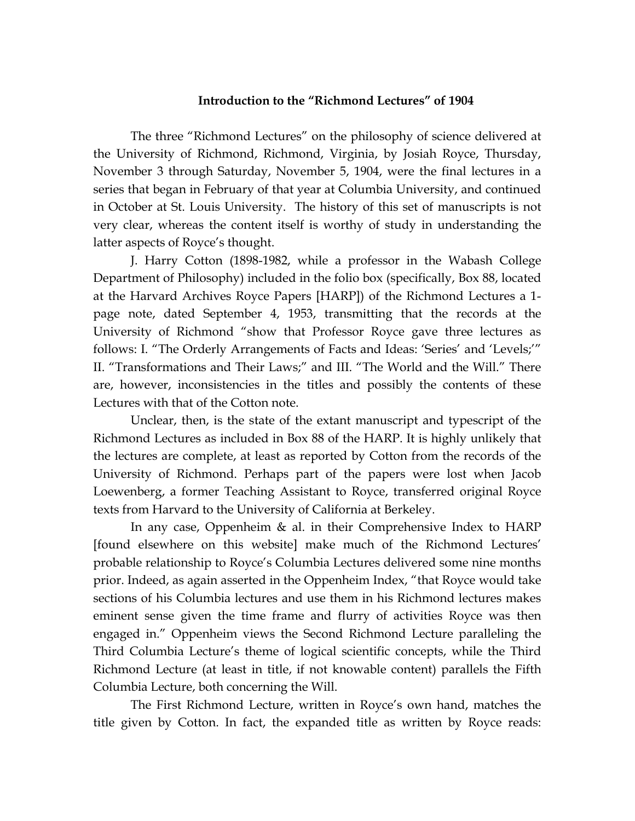## **Introduction to the "Richmond Lectures" of 1904**

The three "Richmond Lectures" on the philosophy of science delivered at the University of Richmond, Richmond, Virginia, by Josiah Royce, Thursday, November 3 through Saturday, November 5, 1904, were the final lectures in a series that began in February of that year at Columbia University, and continued in October at St. Louis University. The history of this set of manuscripts is not very clear, whereas the content itself is worthy of study in understanding the latter aspects of Royce's thought.

J. Harry Cotton (1898-1982, while a professor in the Wabash College Department of Philosophy) included in the folio box (specifically, Box 88, located at the Harvard Archives Royce Papers [HARP]) of the Richmond Lectures a 1 page note, dated September 4, 1953, transmitting that the records at the University of Richmond "show that Professor Royce gave three lectures as follows: I. "The Orderly Arrangements of Facts and Ideas: 'Series' and 'Levels;'" II. "Transformations and Their Laws;" and III. "The World and the Will." There are, however, inconsistencies in the titles and possibly the contents of these Lectures with that of the Cotton note.

Unclear, then, is the state of the extant manuscript and typescript of the Richmond Lectures as included in Box 88 of the HARP. It is highly unlikely that the lectures are complete, at least as reported by Cotton from the records of the University of Richmond. Perhaps part of the papers were lost when Jacob Loewenberg, a former Teaching Assistant to Royce, transferred original Royce texts from Harvard to the University of California at Berkeley.

In any case, Oppenheim & al. in their Comprehensive Index to HARP [found elsewhere on this website] make much of the Richmond Lectures' probable relationship to Royce's Columbia Lectures delivered some nine months prior. Indeed, as again asserted in the Oppenheim Index, "that Royce would take sections of his Columbia lectures and use them in his Richmond lectures makes eminent sense given the time frame and flurry of activities Royce was then engaged in." Oppenheim views the Second Richmond Lecture paralleling the Third Columbia Lecture's theme of logical scientific concepts, while the Third Richmond Lecture (at least in title, if not knowable content) parallels the Fifth Columbia Lecture, both concerning the Will.

The First Richmond Lecture, written in Royce's own hand, matches the title given by Cotton. In fact, the expanded title as written by Royce reads: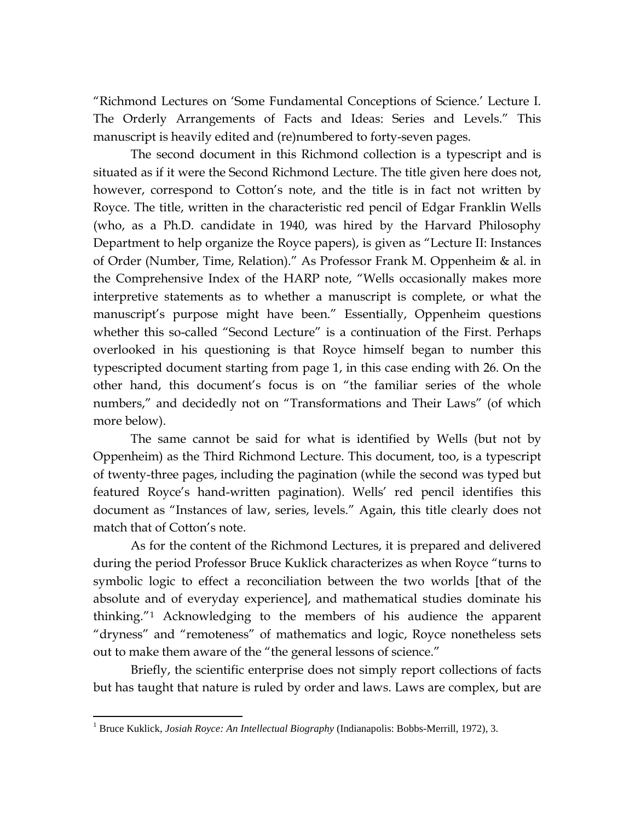"Richmond Lectures on 'Some Fundamental Conceptions of Science.' Lecture I. The Orderly Arrangements of Facts and Ideas: Series and Levels." This manuscript is heavily edited and (re)numbered to forty-seven pages.

The second document in this Richmond collection is a typescript and is situated as if it were the Second Richmond Lecture. The title given here does not, however, correspond to Cotton's note, and the title is in fact not written by Royce. The title, written in the characteristic red pencil of Edgar Franklin Wells (who, as a Ph.D. candidate in 1940, was hired by the Harvard Philosophy Department to help organize the Royce papers), is given as "Lecture II: Instances of Order (Number, Time, Relation)." As Professor Frank M. Oppenheim & al. in the Comprehensive Index of the HARP note, "Wells occasionally makes more interpretive statements as to whether a manuscript is complete, or what the manuscript's purpose might have been." Essentially, Oppenheim questions whether this so-called "Second Lecture" is a continuation of the First. Perhaps overlooked in his questioning is that Royce himself began to number this typescripted document starting from page 1, in this case ending with 26. On the other hand, this document's focus is on "the familiar series of the whole numbers," and decidedly not on "Transformations and Their Laws" (of which more below).

The same cannot be said for what is identified by Wells (but not by Oppenheim) as the Third Richmond Lecture. This document, too, is a typescript of twenty-three pages, including the pagination (while the second was typed but featured Royce's hand-written pagination). Wells' red pencil identifies this document as "Instances of law, series, levels." Again, this title clearly does not match that of Cotton's note.

As for the content of the Richmond Lectures, it is prepared and delivered during the period Professor Bruce Kuklick characterizes as when Royce "turns to symbolic logic to effect a reconciliation between the two worlds [that of the absolute and of everyday experience], and mathematical studies dominate his thinking."[1](#page-1-0) Acknowledging to the members of his audience the apparent "dryness" and "remoteness" of mathematics and logic, Royce nonetheless sets out to make them aware of the "the general lessons of science."

Briefly, the scientific enterprise does not simply report collections of facts but has taught that nature is ruled by order and laws. Laws are complex, but are

 $\overline{a}$ 

<span id="page-1-0"></span><sup>1</sup> Bruce Kuklick, *Josiah Royce: An Intellectual Biography* (Indianapolis: Bobbs-Merrill, 1972), 3.